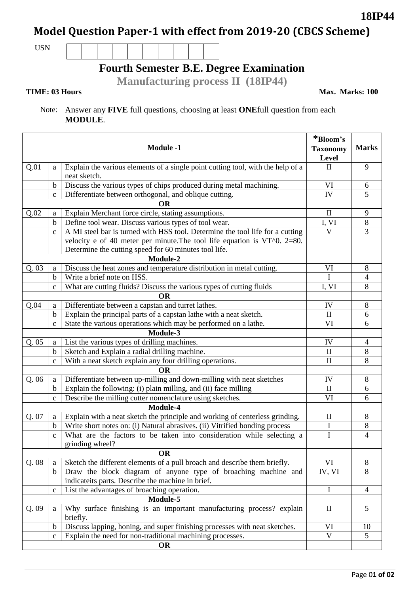# **Model Question Paper-1 with effect from 2019-20 (CBCS Scheme)**

USN

## **Fourth Semester B.E. Degree Examination**

**Manufacturing process II (18IP44)**

**TIME: 03 Hours** Max. Marks: 100

### Note: Answer any **FIVE** full questions, choosing at least **ONE**full question from each **MODULE**.

|       |              | <b>Module -1</b>                                                                                | *Bloom's<br><b>Taxonomy</b><br>Level | <b>Marks</b>   |
|-------|--------------|-------------------------------------------------------------------------------------------------|--------------------------------------|----------------|
| Q.01  | a            | Explain the various elements of a single point cutting tool, with the help of a<br>neat sketch. | $\mathbf{I}$                         | 9              |
|       | $\mathbf b$  | Discuss the various types of chips produced during metal machining.                             | VI                                   | 6              |
|       | $\mathbf{C}$ | Differentiate between orthogonal, and oblique cutting.                                          | IV                                   | 5              |
|       |              | <b>OR</b>                                                                                       |                                      |                |
| Q.02  | a            | Explain Merchant force circle, stating assumptions.                                             | $\mathbf{I}$                         | 9              |
|       | $\mathbf b$  | Define tool wear. Discuss various types of tool wear.                                           | I, VI                                | $\,8\,$        |
|       | $\mathbf{C}$ | A MI steel bar is turned with HSS tool. Determine the tool life for a cutting                   | $\overline{\mathsf{V}}$              | 3              |
|       |              | velocity e of 40 meter per minute. The tool life equation is $VT0$ . 2=80.                      |                                      |                |
|       |              | Determine the cutting speed for 60 minutes tool life.                                           |                                      |                |
|       |              | Module-2                                                                                        |                                      |                |
| Q.03  | a            | Discuss the heat zones and temperature distribution in metal cutting.                           | VI                                   | 8              |
|       | $\mathbf b$  | Write a brief note on HSS.                                                                      |                                      | 4              |
|       | $\mathbf c$  | What are cutting fluids? Discuss the various types of cutting fluids                            | I, VI                                | 8              |
|       |              | <b>OR</b>                                                                                       |                                      |                |
| Q.04  | a            | Differentiate between a capstan and turret lathes.                                              | IV                                   | 8              |
|       | $\mathbf b$  | Explain the principal parts of a capstan lathe with a neat sketch.                              | $\mathbf{I}$                         | 6              |
|       | $\mathbf c$  | State the various operations which may be performed on a lathe.                                 | VI                                   | 6              |
|       |              | Module-3                                                                                        |                                      |                |
| Q.05  | a            | List the various types of drilling machines.                                                    | IV                                   | $\overline{4}$ |
|       | $\mathbf b$  | Sketch and Explain a radial drilling machine.                                                   | $\mathbf{I}$                         | 8              |
|       | $\mathbf{C}$ | With a neat sketch explain any four drilling operations.                                        | $\mathbf{I}$                         | 8              |
|       |              | <b>OR</b>                                                                                       |                                      |                |
| Q.06  | a            | Differentiate between up-milling and down-milling with neat sketches                            | IV                                   | 8              |
|       | $\mathbf b$  | Explain the following: (i) plain milling, and (ii) face milling                                 | $\rm II$                             | 6              |
|       | $\mathbf c$  | Describe the milling cutter nomenclature using sketches.                                        | VI                                   | 6              |
|       |              | Module-4                                                                                        |                                      |                |
| Q. 07 | a            | Explain with a neat sketch the principle and working of centerless grinding.                    | $\mathbf{I}$                         | 8              |
|       | $\mathbf b$  | Write short notes on: (i) Natural abrasives. (ii) Vitrified bonding process                     | I                                    | 8              |
|       | $\mathbf c$  | What are the factors to be taken into consideration while selecting a                           | I                                    | $\overline{4}$ |
|       |              | grinding wheel?                                                                                 |                                      |                |
|       |              | <b>OR</b>                                                                                       |                                      |                |
| Q.08  | a            | Sketch the different elements of a pull broach and describe them briefly.                       | VI                                   | 8              |
|       | $\mathbf b$  | Draw the block diagram of anyone type of broaching machine and                                  | IV, VI                               | 8              |
|       |              | indicateits parts. Describe the machine in brief.                                               |                                      |                |
|       | $\mathbf c$  | List the advantages of broaching operation.                                                     | I                                    | $\overline{4}$ |
|       |              | Module-5                                                                                        |                                      |                |
| Q.09  | a            | Why surface finishing is an important manufacturing process? explain<br>briefly.                | $\mathbf{I}$                         | 5              |
|       | $\mathbf b$  | Discuss lapping, honing, and super finishing processes with neat sketches.                      | VI                                   | 10             |
|       | $\mathbf c$  | Explain the need for non-traditional machining processes.                                       | V                                    | 5              |
|       |              | OR                                                                                              |                                      |                |